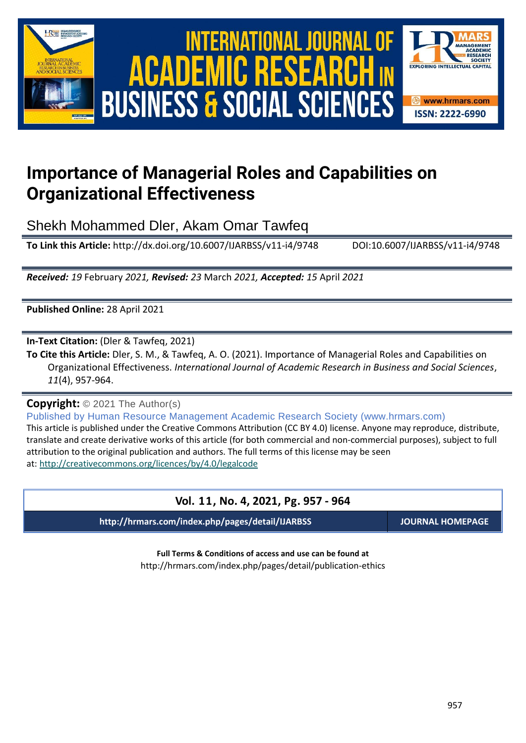

# International Journal of Academic Research in Business and Social Sciences **Vol. 1 1 , No. 4, 2021, E-ISSN: 2222-6990 © 2021 HRMARS ACADEMIC BUSINESS & SOCIAL SCIENCES**



## **Importance of Managerial Roles and Capabilities on Organizational Effectiveness**

Shekh Mohammed Dler, Akam Omar Tawfeq

**To Link this Article:** http://dx.doi.org/10.6007/IJARBSS/v11-i4/9748 DOI:10.6007/IJARBSS/v11-i4/9748

*Received: 19* February *2021, Revised: 23* March *2021, Accepted: 15* April *2021*

**Published Online:** 28 April 2021

**In-Text Citation:** (Dler & Tawfeq, 2021)

**To Cite this Article:** Dler, S. M., & Tawfeq, A. O. (2021). Importance of Managerial Roles and Capabilities on Organizational Effectiveness. *International Journal of Academic Research in Business and Social Sciences*, *11*(4), 957-964.

**Copyright:** © 2021 The Author(s)

Published by Human Resource Management Academic Research Society (www.hrmars.com) This article is published under the Creative Commons Attribution (CC BY 4.0) license. Anyone may reproduce, distribute, translate and create derivative works of this article (for both commercial and non-commercial purposes), subject to full attribution to the original publication and authors. The full terms of this license may be seen at: <http://creativecommons.org/licences/by/4.0/legalcode>

## **Vol. 11, No. 4, 2021, Pg. 957 - 964**

**http://hrmars.com/index.php/pages/detail/IJARBSS JOURNAL HOMEPAGE**

**Full Terms & Conditions of access and use can be found at** http://hrmars.com/index.php/pages/detail/publication-ethics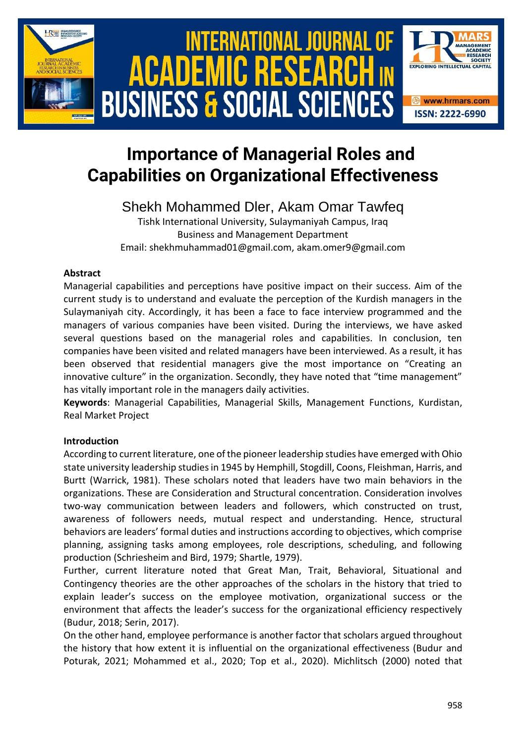

# **Importance of Managerial Roles and Capabilities on Organizational Effectiveness**

## Shekh Mohammed Dler, Akam Omar Tawfeq

Tishk International University, Sulaymaniyah Campus, Iraq Business and Management Department Email: shekhmuhammad01@gmail.com, akam.omer9@gmail.com

## **Abstract**

Managerial capabilities and perceptions have positive impact on their success. Aim of the current study is to understand and evaluate the perception of the Kurdish managers in the Sulaymaniyah city. Accordingly, it has been a face to face interview programmed and the managers of various companies have been visited. During the interviews, we have asked several questions based on the managerial roles and capabilities. In conclusion, ten companies have been visited and related managers have been interviewed. As a result, it has been observed that residential managers give the most importance on "Creating an innovative culture" in the organization. Secondly, they have noted that "time management" has vitally important role in the managers daily activities.

**Keywords**: Managerial Capabilities, Managerial Skills, Management Functions, Kurdistan, Real Market Project

## **Introduction**

According to current literature, one of the pioneer leadership studies have emerged with Ohio state university leadership studies in 1945 by Hemphill, Stogdill, Coons, Fleishman, Harris, and Burtt (Warrick, 1981). These scholars noted that leaders have two main behaviors in the organizations. These are Consideration and Structural concentration. Consideration involves two-way communication between leaders and followers, which constructed on trust, awareness of followers needs, mutual respect and understanding. Hence, structural behaviors are leaders' formal duties and instructions according to objectives, which comprise planning, assigning tasks among employees, role descriptions, scheduling, and following production (Schriesheim and Bird, 1979; Shartle, 1979).

Further, current literature noted that Great Man, Trait, Behavioral, Situational and Contingency theories are the other approaches of the scholars in the history that tried to explain leader's success on the employee motivation, organizational success or the environment that affects the leader's success for the organizational efficiency respectively (Budur, 2018; Serin, 2017).

On the other hand, employee performance is another factor that scholars argued throughout the history that how extent it is influential on the organizational effectiveness (Budur and Poturak, 2021; Mohammed et al., 2020; Top et al., 2020). Michlitsch (2000) noted that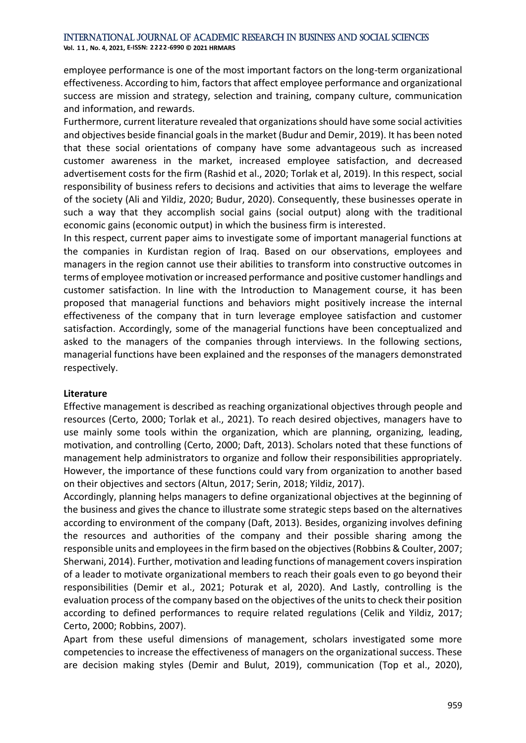**Vol. 1 1 , No. 4, 2021, E-ISSN: 2222-6990 © 2021 HRMARS**

employee performance is one of the most important factors on the long-term organizational effectiveness. According to him, factors that affect employee performance and organizational success are mission and strategy, selection and training, company culture, communication and information, and rewards.

Furthermore, current literature revealed that organizations should have some social activities and objectives beside financial goals in the market (Budur and Demir, 2019). It has been noted that these social orientations of company have some advantageous such as increased customer awareness in the market, increased employee satisfaction, and decreased advertisement costs for the firm (Rashid et al., 2020; Torlak et al, 2019). In this respect, social responsibility of business refers to decisions and activities that aims to leverage the welfare of the society (Ali and Yildiz, 2020; Budur, 2020). Consequently, these businesses operate in such a way that they accomplish social gains (social output) along with the traditional economic gains (economic output) in which the business firm is interested.

In this respect, current paper aims to investigate some of important managerial functions at the companies in Kurdistan region of Iraq. Based on our observations, employees and managers in the region cannot use their abilities to transform into constructive outcomes in terms of employee motivation or increased performance and positive customer handlings and customer satisfaction. In line with the Introduction to Management course, it has been proposed that managerial functions and behaviors might positively increase the internal effectiveness of the company that in turn leverage employee satisfaction and customer satisfaction. Accordingly, some of the managerial functions have been conceptualized and asked to the managers of the companies through interviews. In the following sections, managerial functions have been explained and the responses of the managers demonstrated respectively.

#### **Literature**

Effective management is described as reaching organizational objectives through people and resources (Certo, 2000; Torlak et al., 2021). To reach desired objectives, managers have to use mainly some tools within the organization, which are planning, organizing, leading, motivation, and controlling (Certo, 2000; Daft, 2013). Scholars noted that these functions of management help administrators to organize and follow their responsibilities appropriately. However, the importance of these functions could vary from organization to another based on their objectives and sectors (Altun, 2017; Serin, 2018; Yildiz, 2017).

Accordingly, planning helps managers to define organizational objectives at the beginning of the business and gives the chance to illustrate some strategic steps based on the alternatives according to environment of the company (Daft, 2013). Besides, organizing involves defining the resources and authorities of the company and their possible sharing among the responsible units and employees in the firm based on the objectives (Robbins & Coulter, 2007; Sherwani, 2014). Further, motivation and leading functions of management covers inspiration of a leader to motivate organizational members to reach their goals even to go beyond their responsibilities (Demir et al., 2021; Poturak et al, 2020). And Lastly, controlling is the evaluation process of the company based on the objectives of the units to check their position according to defined performances to require related regulations (Celik and Yildiz, 2017; Certo, 2000; Robbins, 2007).

Apart from these useful dimensions of management, scholars investigated some more competencies to increase the effectiveness of managers on the organizational success. These are decision making styles (Demir and Bulut, 2019), communication (Top et al., 2020),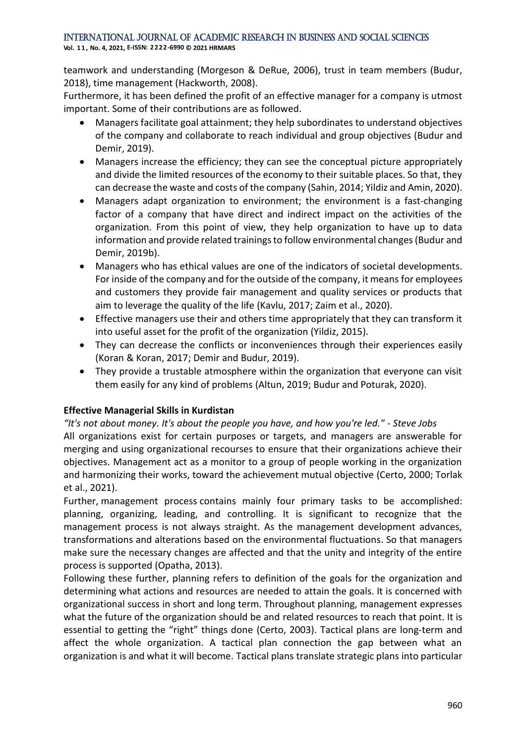**Vol. 1 1 , No. 4, 2021, E-ISSN: 2222-6990 © 2021 HRMARS**

teamwork and understanding (Morgeson & DeRue, 2006), trust in team members (Budur, 2018), time management (Hackworth, 2008).

Furthermore, it has been defined the profit of an effective manager for a company is utmost important. Some of their contributions are as followed.

- Managers facilitate goal attainment; they help subordinates to understand objectives of the company and collaborate to reach individual and group objectives (Budur and Demir, 2019).
- Managers increase the efficiency; they can see the conceptual picture appropriately and divide the limited resources of the economy to their suitable places. So that, they can decrease the waste and costs of the company (Sahin, 2014; Yildiz and Amin, 2020).
- Managers adapt organization to environment; the environment is a fast-changing factor of a company that have direct and indirect impact on the activities of the organization. From this point of view, they help organization to have up to data information and provide related trainings to follow environmental changes(Budur and Demir, 2019b).
- Managers who has ethical values are one of the indicators of societal developments. For inside of the company and for the outside of the company, it means for employees and customers they provide fair management and quality services or products that aim to leverage the quality of the life (Kavlu, 2017; Zaim et al., 2020).
- Effective managers use their and others time appropriately that they can transform it into useful asset for the profit of the organization (Yildiz, 2015).
- They can decrease the conflicts or inconveniences through their experiences easily (Koran & Koran, 2017; Demir and Budur, 2019).
- They provide a trustable atmosphere within the organization that everyone can visit them easily for any kind of problems (Altun, 2019; Budur and Poturak, 2020).

## **Effective Managerial Skills in Kurdistan**

*"It's not about money. It's about the people you have, and how you're led." - Steve Jobs* All organizations exist for certain purposes or targets, and managers are answerable for merging and using organizational recourses to ensure that their organizations achieve their objectives. Management act as a monitor to a group of people working in the organization and harmonizing their works, toward the achievement mutual objective (Certo, 2000; Torlak et al., 2021).

Further, management process contains mainly four primary tasks to be accomplished: planning, organizing, leading, and controlling. It is significant to recognize that the management process is not always straight. As the management development advances, transformations and alterations based on the environmental fluctuations. So that managers make sure the necessary changes are affected and that the unity and integrity of the entire process is supported (Opatha, 2013).

Following these further, planning refers to definition of the goals for the organization and determining what actions and resources are needed to attain the goals. It is concerned with organizational success in short and long term. Throughout planning, management expresses what the future of the organization should be and related resources to reach that point. It is essential to getting the "right" things done (Certo, 2003). Tactical plans are long-term and affect the whole organization. A tactical plan connection the gap between what an organization is and what it will become. Tactical plans translate strategic plans into particular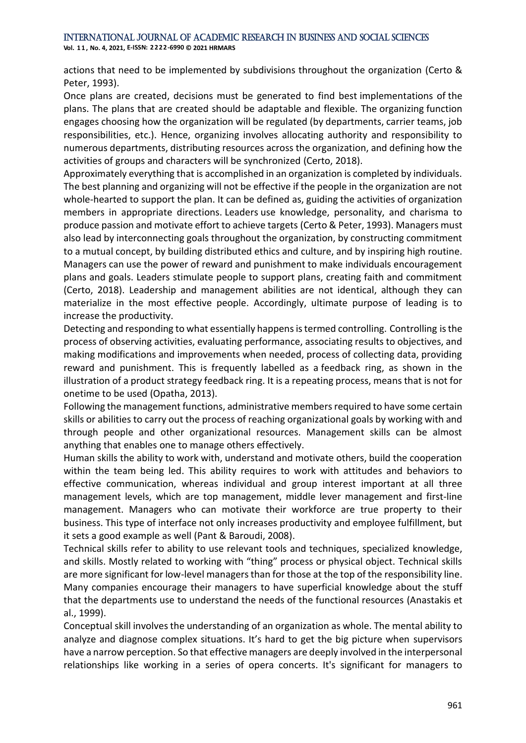**Vol. 1 1 , No. 4, 2021, E-ISSN: 2222-6990 © 2021 HRMARS**

actions that need to be implemented by subdivisions throughout the organization (Certo & Peter, 1993).

Once plans are created, decisions must be generated to find best implementations of the plans. The plans that are created should be adaptable and flexible. The organizing function engages choosing how the organization will be regulated (by departments, carrier teams, job responsibilities, etc.). Hence, organizing involves allocating authority and responsibility to numerous departments, distributing resources across the organization, and defining how the activities of groups and characters will be synchronized (Certo, 2018).

Approximately everything that is accomplished in an organization is completed by individuals. The best planning and organizing will not be effective if the people in the organization are not whole-hearted to support the plan. It can be defined as, guiding the activities of organization members in appropriate directions. Leaders use knowledge, personality, and charisma to produce passion and motivate effort to achieve targets (Certo & Peter, 1993). Managers must also lead by interconnecting goals throughout the organization, by constructing commitment to a mutual concept, by building distributed ethics and culture, and by inspiring high routine. Managers can use the power of reward and punishment to make individuals encouragement plans and goals. Leaders stimulate people to support plans, creating faith and commitment (Certo, 2018). Leadership and management abilities are not identical, although they can materialize in the most effective people. Accordingly, ultimate purpose of leading is to increase the productivity.

Detecting and responding to what essentially happens is termed controlling. Controlling is the process of observing activities, evaluating performance, associating results to objectives, and making modifications and improvements when needed, process of collecting data, providing reward and punishment. This is frequently labelled as a feedback ring, as shown in the illustration of a product strategy feedback ring. It is a repeating process, means that is not for onetime to be used (Opatha, 2013).

Following the management functions, administrative members required to have some certain skills or abilities to carry out the process of reaching organizational goals by working with and through people and other organizational resources. Management skills can be almost anything that enables one to manage others effectively.

Human skills the ability to work with, understand and motivate others, build the cooperation within the team being led. This ability requires to work with attitudes and behaviors to effective communication, whereas individual and group interest important at all three management levels, which are top management, middle lever management and first-line management. Managers who can motivate their workforce are true property to their business. This type of interface not only increases productivity and employee fulfillment, but it sets a good example as well (Pant & Baroudi, 2008).

Technical skills refer to ability to use relevant tools and techniques, specialized knowledge, and skills. Mostly related to working with "thing" process or physical object. Technical skills are more significant for low-level managers than for those at the top of the responsibility line. Many companies encourage their managers to have superficial knowledge about the stuff that the departments use to understand the needs of the functional resources (Anastakis et al., 1999).

Conceptual skill involves the understanding of an organization as whole. The mental ability to analyze and diagnose complex situations. It's hard to get the big picture when supervisors have a narrow perception. So that effective managers are deeply involved in the interpersonal relationships like working in a series of opera concerts. It's significant for managers to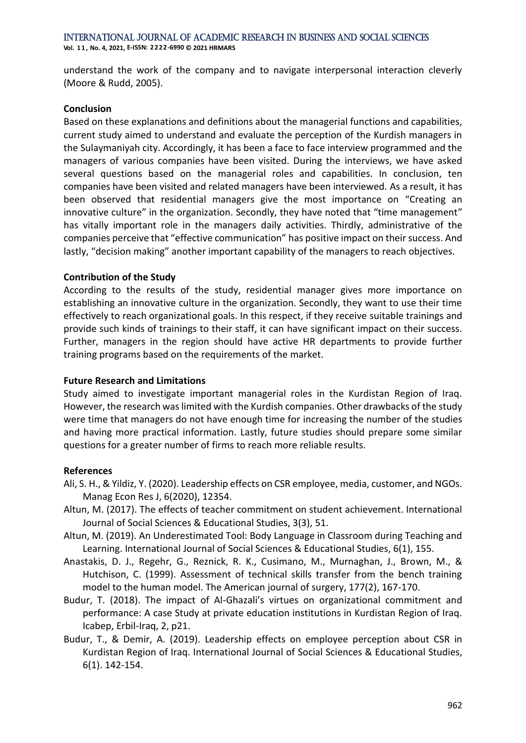International Journal of Academic Research in Business and Social Sciences **Vol. 1 1 , No. 4, 2021, E-ISSN: 2222-6990 © 2021 HRMARS**

understand the work of the company and to navigate interpersonal interaction cleverly (Moore & Rudd, 2005).

#### **Conclusion**

Based on these explanations and definitions about the managerial functions and capabilities, current study aimed to understand and evaluate the perception of the Kurdish managers in the Sulaymaniyah city. Accordingly, it has been a face to face interview programmed and the managers of various companies have been visited. During the interviews, we have asked several questions based on the managerial roles and capabilities. In conclusion, ten companies have been visited and related managers have been interviewed. As a result, it has been observed that residential managers give the most importance on "Creating an innovative culture" in the organization. Secondly, they have noted that "time management" has vitally important role in the managers daily activities. Thirdly, administrative of the companies perceive that "effective communication" has positive impact on their success. And lastly, "decision making" another important capability of the managers to reach objectives.

### **Contribution of the Study**

According to the results of the study, residential manager gives more importance on establishing an innovative culture in the organization. Secondly, they want to use their time effectively to reach organizational goals. In this respect, if they receive suitable trainings and provide such kinds of trainings to their staff, it can have significant impact on their success. Further, managers in the region should have active HR departments to provide further training programs based on the requirements of the market.

### **Future Research and Limitations**

Study aimed to investigate important managerial roles in the Kurdistan Region of Iraq. However, the research was limited with the Kurdish companies. Other drawbacks of the study were time that managers do not have enough time for increasing the number of the studies and having more practical information. Lastly, future studies should prepare some similar questions for a greater number of firms to reach more reliable results.

### **References**

- Ali, S. H., & Yildiz, Y. (2020). Leadership effects on CSR employee, media, customer, and NGOs. Manag Econ Res J, 6(2020), 12354.
- Altun, M. (2017). The effects of teacher commitment on student achievement. International Journal of Social Sciences & Educational Studies, 3(3), 51.
- Altun, M. (2019). An Underestimated Tool: Body Language in Classroom during Teaching and Learning. International Journal of Social Sciences & Educational Studies, 6(1), 155.
- Anastakis, D. J., Regehr, G., Reznick, R. K., Cusimano, M., Murnaghan, J., Brown, M., & Hutchison, C. (1999). Assessment of technical skills transfer from the bench training model to the human model. The American journal of surgery, 177(2), 167-170.
- Budur, T. (2018). The impact of Al-Ghazali's virtues on organizational commitment and performance: A case Study at private education institutions in Kurdistan Region of Iraq. Icabep, Erbil-Iraq, 2, p21.
- Budur, T., & Demir, A. (2019). Leadership effects on employee perception about CSR in Kurdistan Region of Iraq. International Journal of Social Sciences & Educational Studies, 6(1). 142-154.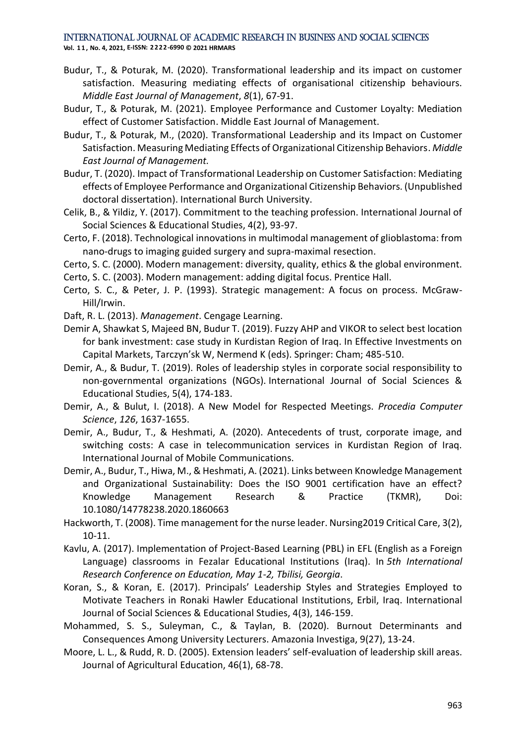**Vol. 1 1 , No. 4, 2021, E-ISSN: 2222-6990 © 2021 HRMARS**

- Budur, T., & Poturak, M. (2020). Transformational leadership and its impact on customer satisfaction. Measuring mediating effects of organisational citizenship behaviours. *Middle East Journal of Management*, *8*(1), 67-91.
- Budur, T., & Poturak, M. (2021). Employee Performance and Customer Loyalty: Mediation effect of Customer Satisfaction. Middle East Journal of Management.
- Budur, T., & Poturak, M., (2020). Transformational Leadership and its Impact on Customer Satisfaction. Measuring Mediating Effects of Organizational Citizenship Behaviors. *Middle East Journal of Management.*
- Budur, T. (2020). Impact of Transformational Leadership on Customer Satisfaction: Mediating effects of Employee Performance and Organizational Citizenship Behaviors. (Unpublished doctoral dissertation). International Burch University.
- Celik, B., & Yildiz, Y. (2017). Commitment to the teaching profession. International Journal of Social Sciences & Educational Studies, 4(2), 93-97.
- Certo, F. (2018). Technological innovations in multimodal management of glioblastoma: from nano-drugs to imaging guided surgery and supra-maximal resection.
- Certo, S. C. (2000). Modern management: diversity, quality, ethics & the global environment.
- Certo, S. C. (2003). Modern management: adding digital focus. Prentice Hall.
- Certo, S. C., & Peter, J. P. (1993). Strategic management: A focus on process. McGraw-Hill/Irwin.
- Daft, R. L. (2013). *Management*. Cengage Learning.
- Demir A, Shawkat S, Majeed BN, Budur T. (2019). Fuzzy AHP and VIKOR to select best location for bank investment: case study in Kurdistan Region of Iraq. In Effective Investments on Capital Markets, Tarczyn'sk W, Nermend K (eds). Springer: Cham; 485-510.
- Demir, A., & Budur, T. (2019). Roles of leadership styles in corporate social responsibility to non-governmental organizations (NGOs). International Journal of Social Sciences & Educational Studies, 5(4), 174-183.
- Demir, A., & Bulut, I. (2018). A New Model for Respected Meetings. *Procedia Computer Science*, *126*, 1637-1655.
- Demir, A., Budur, T., & Heshmati, A. (2020). Antecedents of trust, corporate image, and switching costs: A case in telecommunication services in Kurdistan Region of Iraq. International Journal of Mobile Communications.
- Demir, A., Budur, T., Hiwa, M., & Heshmati, A. (2021). Links between Knowledge Management and Organizational Sustainability: Does the ISO 9001 certification have an effect? Knowledge Management Research & Practice (TKMR), Doi: 10.1080/14778238.2020.1860663
- Hackworth, T. (2008). Time management for the nurse leader. Nursing2019 Critical Care, 3(2), 10-11.
- Kavlu, A. (2017). Implementation of Project-Based Learning (PBL) in EFL (English as a Foreign Language) classrooms in Fezalar Educational Institutions (Iraq). In *5th International Research Conference on Education, May 1-2, Tbilisi, Georgia*.
- Koran, S., & Koran, E. (2017). Principals' Leadership Styles and Strategies Employed to Motivate Teachers in Ronaki Hawler Educational Institutions, Erbil, Iraq. International Journal of Social Sciences & Educational Studies, 4(3), 146-159.
- Mohammed, S. S., Suleyman, C., & Taylan, B. (2020). Burnout Determinants and Consequences Among University Lecturers. Amazonia Investiga, 9(27), 13-24.
- Moore, L. L., & Rudd, R. D. (2005). Extension leaders' self-evaluation of leadership skill areas. Journal of Agricultural Education, 46(1), 68-78.